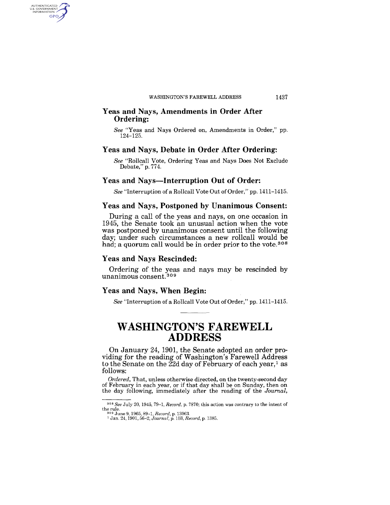### Yeas and Nays, Amendments in Order After Ordering:

*See* "Yeas and Nays Ordered on, Amendments in Order," pp. 124-125.

### Yeas and Nays, Debate in Order After Ordering:

*See* "Rollcall Vote, Ordering Yeas and Nays Does Not Exclude Debate," p. 774.

### Yeas and Nays—Interruption Out of Order:

*See* "Interruption ofa Rollcall Vote Out of Order," pp. 1411-1415.

### Yeas and Nays, Postponed by Unanimous Consent:

During a call of the yeas and nays, on one occasion in 1945, the Senate took an unusual action when the vote was postponed by unanimous consent until the following day; under such circumstances a new rollcall would be had; a quorum call would be in order prior to the vote.<sup>308</sup>

### Yeas and Nays Rescinded:

AUTHENTICATED<br>U.S. GOVERNMENT<br>INFORMATION GPO

> Ordering of the yeas and nays may be rescinded by unanimous consent. 309

### Yeas and Nays, When Begin:

*See* "Interruption of a Rollcall Vote Out of Order," pp. 1411-1415.

### **WASHINGTON'S FAREWELL ADDRESS**

On January 24, 1901, the Senate adopted an order providing for the reading of Washington's Farewell Address to the Senate on the  $\bar{2}2d$  day of February of each year,<sup>1</sup> as follows:

*Ordered,* That, unless otherwise directed, on the twenty-second day of February in each year, or if that day shall be on Sunday, then on the day following, immediately after the reading of the *Journal,* 

1437

<sup>30</sup>S *See* July 20.1945,79-1, *Record,* p. 7870; this action was contrary to the intent of the rule. 309 June 9,1965,89-1, *Record,* p. 13063. 1 Jan. 24, 1901, 56-2, *Jou.rnal,* p. 103, *Record,* p. 1385.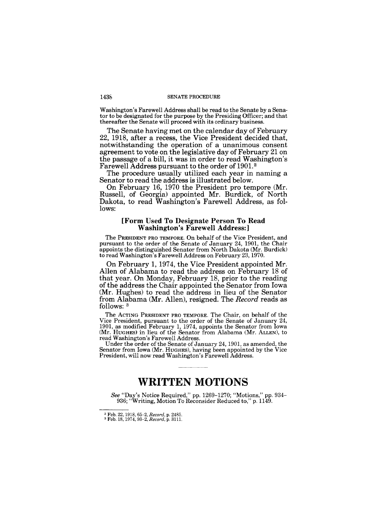#### 1438 SENATE PROCEDURE

Washington's Farewell Address shall be read to the Senate by a Senator to be designated for the purpose by the Presiding Officer; and that thereafter the Senate will proceed with its ordinary business.

The Senate having met on the calendar day of February 22, 1918, after a recess, the Vice President decided that, notwithstanding the operation of a unanimous consent agreement to vote on the legislative day of February 21 on the passage of a bill, it was in order to read Washington's Farewell Address pursuant to the order of 1901. <sup>2</sup>

The procedure usually utilized each year in naming a Senator to read the address is illustrated below.

On February 16, 1970 the President pro tempore (Mr. Russell, of Georgia) appointed Mr. Burdick, of North Dakota, to read Washington's Farewell Address, as follows:

### [Form Used To Designate Person To Read Washington's Farewell Address:]

The PRESIDENT PRO TEMPORE. On behalf of the Vice President, and pursuant to the order of the Senate of January 24, 1901, the Chair appoints the distinguished Senator from North Dakota (Mr. Burdick) to read Washington's Farewell Address on February 23,1970.

On February 1, 1974, the Vice President appointed Mr. Allen of Alabama to read the address on February 18 of that year. On Monday, February 18, prior to the reading of the address the Chair appointed the Senator from Iowa (Mr. Hughes) to read the address in lieu of the Senator from Alabama (Mr. Allen), resigned. The *Record* reads as follows: 3

The ACTING PRESIDENT PRO TEMPORE. The Chair, on behalf of the Vice President, pursuant to the order of the Senate of January 24, 1901, as modified February 1, 1974, appoints the Senator from Iowa (Mr. HUGHES) in lieu of the Senator from Alabama (Mr. ALLEN), to read Washington's Farewell Address.

Under the order of the Senate of January 24,1901, as amended, the Senator from Iowa (Mr. HUGHES), having been appointed by the Vice President, will now read Washington's Farewell Address.

## **WRITTEN MOTIONS**

*See* "Day's Notice Required," pp. 1269-1270; "Motions," pp. 934- 936; "Writing, Motion To Reconsider Reduced to," p. 1149.

<sup>2</sup>Feb. 22, 1918, 65-2, *Record,* p. 2485. 3 Feb. 18, 1974,93-2, *Record,* p. 3111.